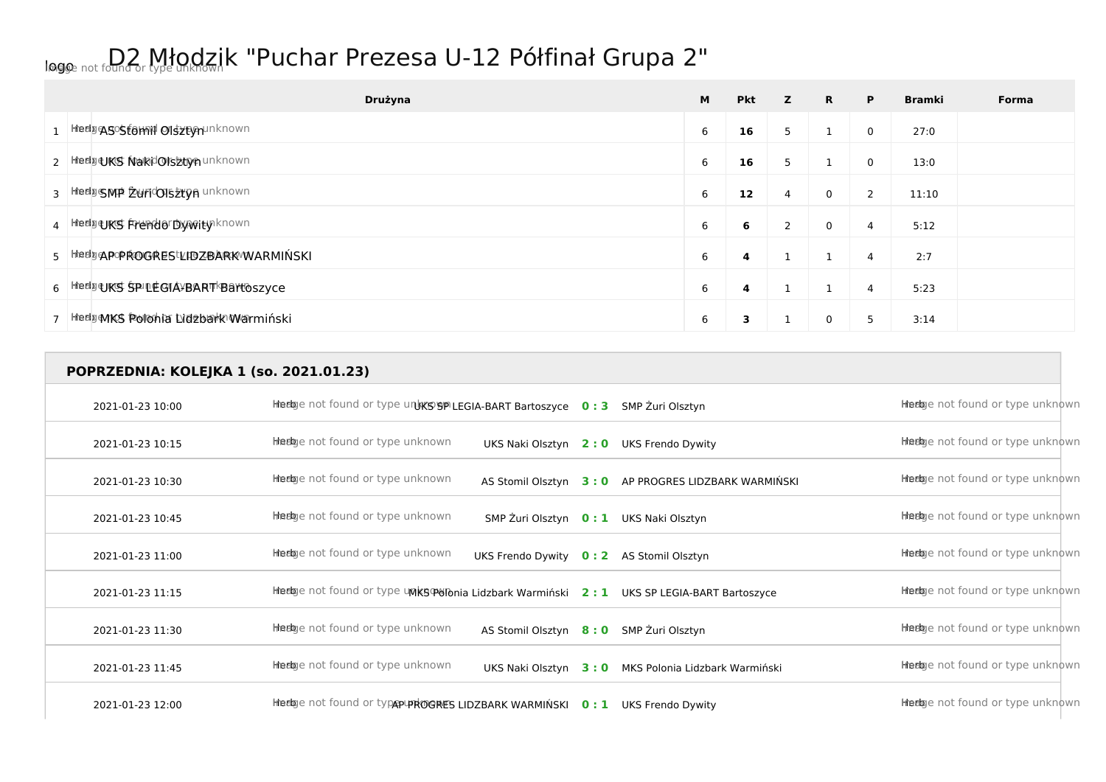## logo Image not found or type unknown D2 Młodzik "Puchar Prezesa U-12 Półfinał Grupa 2"

| Drużyna                                   | M | <b>Pkt</b> | z | $\mathbf{R}$ | P | <b>Bramki</b> | Forma |
|-------------------------------------------|---|------------|---|--------------|---|---------------|-------|
| 1 HredgASOStomid Olsztomunknown           | 6 | 16         | 5 |              | 0 | 27:0          |       |
| 2   Hierly UKS NakidOIs2tyn unknown       | 6 | 16         | 5 |              | 0 | 13:0          |       |
| 3 HeelpsMP Zuricolsztyn unknown           | 6 | 12         | 4 | 0            | 2 | 11:10         |       |
| 4 Heelpers Frendor Dyveity known          | 6 | 6          | 2 | 0            | 4 | 5:12          |       |
| 5   Hieding APOPROGRES LIBZBARK WARMINSKI | 6 | 4          |   |              | 4 | 2:7           |       |
| 6 Hedge KS SPILE GIA VBART Bartoszyce     | 6 | 4          |   |              | 4 | 5:23          |       |
| 7 Heely MKS Polohia Lidebark Warminski    | 6 | з          |   | 0            | 5 | 3:14          |       |

**POPRZEDNIA: KOLEJKA 1 (so. 2021.01.23)** 2021-01-23 10:00 **Herb** Image not found or type unk**KS SP LEGIA-BART Bartoszyce 0:3** SMP Żuri Olsztyn 2021-01-23 10:15 **Herb** Intertige not found or type unknown UKS Naki Olsztyn 2:0 UKS Frendo Dywity **Herb Image 10:16** Herb Indian or type unknown 2021-01-23 10:30 **Herb** Intertige not found or type unknown AS Stomil Olsztyn 3:0 AP PROGRES LIDZBARK WARMIŃSKI Herb Intertige not found or type unknown 2021-01-23 10:45 **Herb** Intertive not found or type unknown SMP Żuri Olsztyn 0:1 UKS Naki Olsztyn **Ameda Ameda Ameda** enot found or type unknown 2021-01-23 11:00 **Herb** Image not found or type unknown UKS Frendo Dywity **0 : 2** AS Stomil Olsztyn Herb Image not found or type unknown 2021-01-23 11:15 **Herb** Inter India or type unknown Maks Polonia Lidzbark Warmiński **2:1** UKS SP LEGIA-BART Bartoszyce Herb Image not found or type unknown 2021-01-23 11:30 **Herb** Image not found or type unknown AS Stomil Olsztyn 8:0 SMP Żuri Olsztyn **Burge and AS Stomil Olsztyn** Herb Image not found or type unknown 2021-01-23 11:45 **Herb** Intertige not found or type unknown UKS Naki Olsztyn 3:0 MKS Polonia Lidzbark Warmiński Herb Image not found or type unknown 2021-01-23 12:00 **Herb** Intertige not found or type unknown Herb Indian AP PROGRES LIDZBARK WARMINSKI **0 : 1** UKS Frendo Dywity